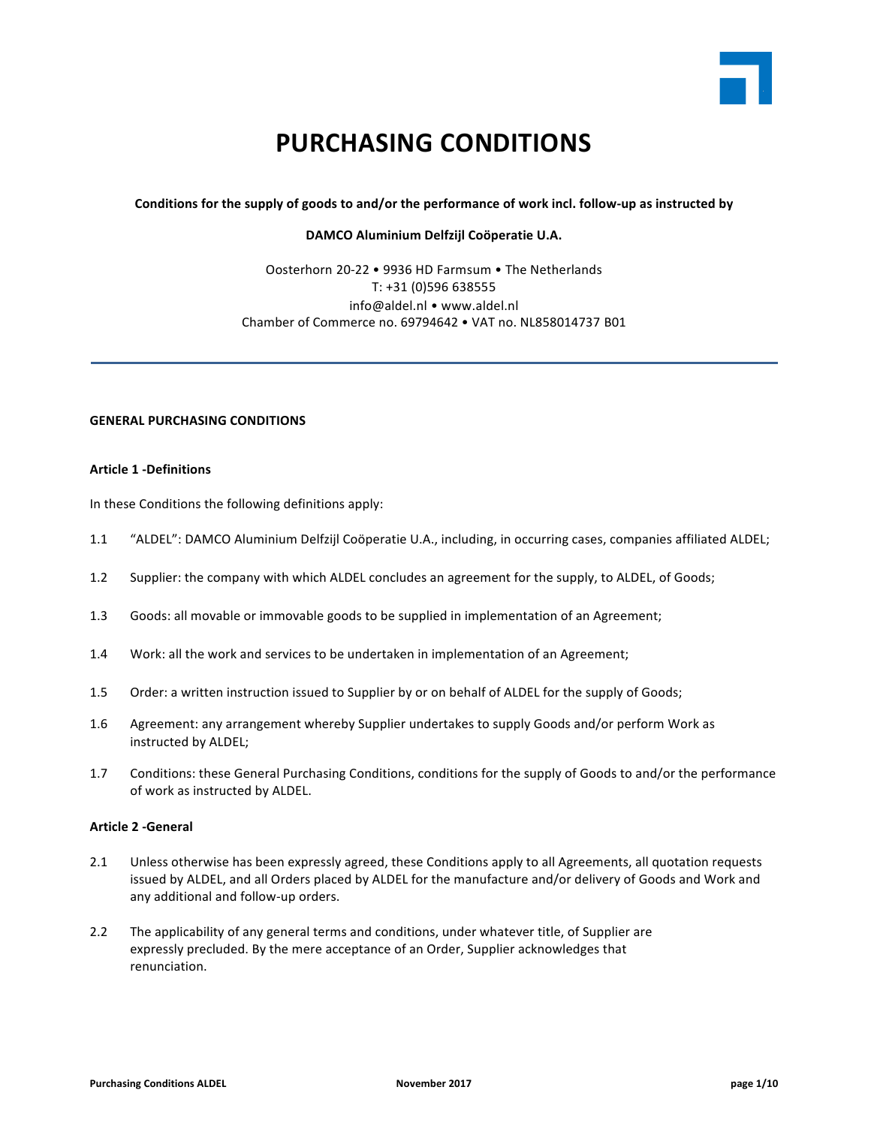

# **PURCHASING CONDITIONS**

Conditions for the supply of goods to and/or the performance of work incl. follow-up as instructed by

**DAMCO Aluminium Delfzijl Coöperatie U.A.**

Oosterhorn 20-22 • 9936 HD Farmsum • The Netherlands T: +31 (0)596 638555 info@aldel.nl • www.aldel.nl Chamber of Commerce no. 69794642 . VAT no. NL858014737 B01

# **GENERAL PURCHASING CONDITIONS**

# **Article 1 -Definitions**

In these Conditions the following definitions apply:

- 1.1 "ALDEL": DAMCO Aluminium Delfzijl Coöperatie U.A., including, in occurring cases, companies affiliated ALDEL;
- 1.2 Supplier: the company with which ALDEL concludes an agreement for the supply, to ALDEL, of Goods;
- 1.3 Goods: all movable or immovable goods to be supplied in implementation of an Agreement;
- 1.4 Work: all the work and services to be undertaken in implementation of an Agreement;
- 1.5 Order: a written instruction issued to Supplier by or on behalf of ALDEL for the supply of Goods;
- 1.6 Agreement: any arrangement whereby Supplier undertakes to supply Goods and/or perform Work as instructed by ALDEL;
- 1.7 Conditions: these General Purchasing Conditions, conditions for the supply of Goods to and/or the performance of work as instructed by ALDEL.

## **Article 2 -General**

- 2.1 Unless otherwise has been expressly agreed, these Conditions apply to all Agreements, all quotation requests issued by ALDEL, and all Orders placed by ALDEL for the manufacture and/or delivery of Goods and Work and any additional and follow-up orders.
- 2.2 The applicability of any general terms and conditions, under whatever title, of Supplier are expressly precluded. By the mere acceptance of an Order, Supplier acknowledges that renunciation.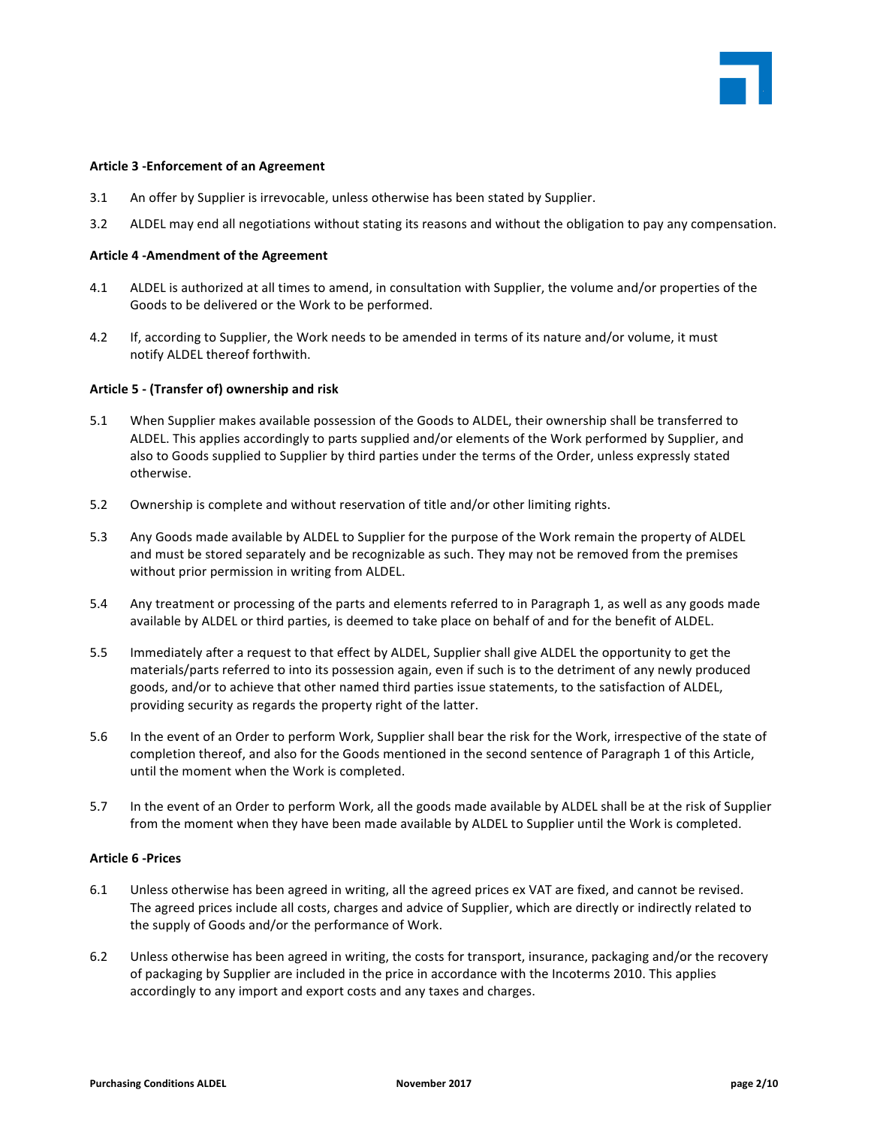

#### **Article 3 -Enforcement of an Agreement**

- 3.1 An offer by Supplier is irrevocable, unless otherwise has been stated by Supplier.
- 3.2 ALDEL may end all negotiations without stating its reasons and without the obligation to pay any compensation.

#### **Article 4 -Amendment of the Agreement**

- 4.1 ALDEL is authorized at all times to amend, in consultation with Supplier, the volume and/or properties of the Goods to be delivered or the Work to be performed.
- 4.2 If, according to Supplier, the Work needs to be amended in terms of its nature and/or volume, it must notify ALDEL thereof forthwith.

#### Article 5 - (Transfer of) ownership and risk

- 5.1 When Supplier makes available possession of the Goods to ALDEL, their ownership shall be transferred to ALDEL. This applies accordingly to parts supplied and/or elements of the Work performed by Supplier, and also to Goods supplied to Supplier by third parties under the terms of the Order, unless expressly stated otherwise.
- 5.2 Ownership is complete and without reservation of title and/or other limiting rights.
- 5.3 Any Goods made available by ALDEL to Supplier for the purpose of the Work remain the property of ALDEL and must be stored separately and be recognizable as such. They may not be removed from the premises without prior permission in writing from ALDEL.
- 5.4 Any treatment or processing of the parts and elements referred to in Paragraph 1, as well as any goods made available by ALDEL or third parties, is deemed to take place on behalf of and for the benefit of ALDEL.
- 5.5 Immediately after a request to that effect by ALDEL, Supplier shall give ALDEL the opportunity to get the materials/parts referred to into its possession again, even if such is to the detriment of any newly produced goods, and/or to achieve that other named third parties issue statements, to the satisfaction of ALDEL, providing security as regards the property right of the latter.
- 5.6 In the event of an Order to perform Work, Supplier shall bear the risk for the Work, irrespective of the state of completion thereof, and also for the Goods mentioned in the second sentence of Paragraph 1 of this Article, until the moment when the Work is completed.
- 5.7 In the event of an Order to perform Work, all the goods made available by ALDEL shall be at the risk of Supplier from the moment when they have been made available by ALDEL to Supplier until the Work is completed.

## **Article 6 -Prices**

- 6.1 Unless otherwise has been agreed in writing, all the agreed prices ex VAT are fixed, and cannot be revised. The agreed prices include all costs, charges and advice of Supplier, which are directly or indirectly related to the supply of Goods and/or the performance of Work.
- 6.2 Unless otherwise has been agreed in writing, the costs for transport, insurance, packaging and/or the recovery of packaging by Supplier are included in the price in accordance with the Incoterms 2010. This applies accordingly to any import and export costs and any taxes and charges.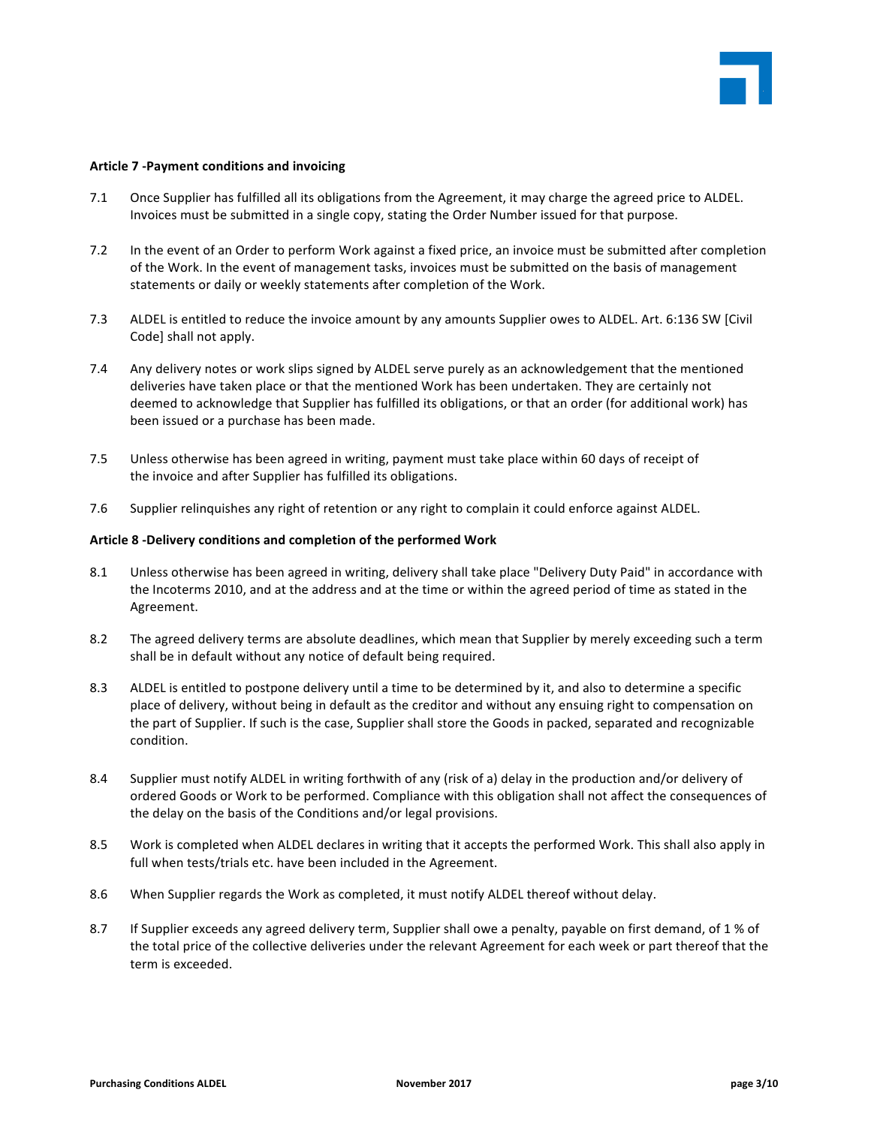

#### **Article 7 -Payment conditions and invoicing**

- 7.1 Once Supplier has fulfilled all its obligations from the Agreement, it may charge the agreed price to ALDEL. Invoices must be submitted in a single copy, stating the Order Number issued for that purpose.
- 7.2 In the event of an Order to perform Work against a fixed price, an invoice must be submitted after completion of the Work. In the event of management tasks, invoices must be submitted on the basis of management statements or daily or weekly statements after completion of the Work.
- 7.3 ALDEL is entitled to reduce the invoice amount by any amounts Supplier owes to ALDEL. Art. 6:136 SW [Civil Code] shall not apply.
- 7.4 Any delivery notes or work slips signed by ALDEL serve purely as an acknowledgement that the mentioned deliveries have taken place or that the mentioned Work has been undertaken. They are certainly not deemed to acknowledge that Supplier has fulfilled its obligations, or that an order (for additional work) has been issued or a purchase has been made.
- 7.5 Unless otherwise has been agreed in writing, payment must take place within 60 days of receipt of the invoice and after Supplier has fulfilled its obligations.
- 7.6 Supplier relinquishes any right of retention or any right to complain it could enforce against ALDEL.

#### Article 8 -Delivery conditions and completion of the performed Work

- 8.1 Unless otherwise has been agreed in writing, delivery shall take place "Delivery Duty Paid" in accordance with the Incoterms 2010, and at the address and at the time or within the agreed period of time as stated in the Agreement.
- 8.2 The agreed delivery terms are absolute deadlines, which mean that Supplier by merely exceeding such a term shall be in default without any notice of default being required.
- 8.3 ALDEL is entitled to postpone delivery until a time to be determined by it, and also to determine a specific place of delivery, without being in default as the creditor and without any ensuing right to compensation on the part of Supplier. If such is the case, Supplier shall store the Goods in packed, separated and recognizable condition.
- 8.4 Supplier must notify ALDEL in writing forthwith of any (risk of a) delay in the production and/or delivery of ordered Goods or Work to be performed. Compliance with this obligation shall not affect the consequences of the delay on the basis of the Conditions and/or legal provisions.
- 8.5 Work is completed when ALDEL declares in writing that it accepts the performed Work. This shall also apply in full when tests/trials etc. have been included in the Agreement.
- 8.6 When Supplier regards the Work as completed, it must notify ALDEL thereof without delay.
- 8.7 If Supplier exceeds any agreed delivery term, Supplier shall owe a penalty, payable on first demand, of 1 % of the total price of the collective deliveries under the relevant Agreement for each week or part thereof that the term is exceeded.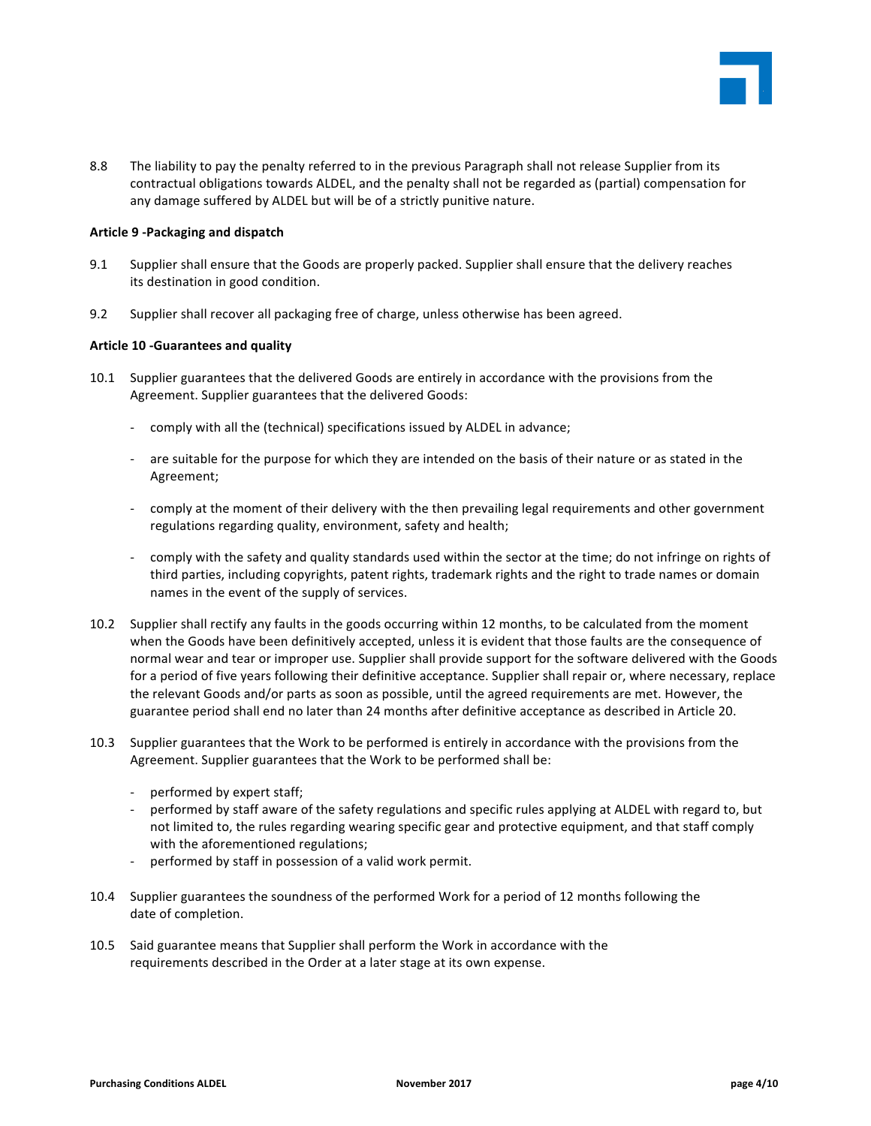

8.8 The liability to pay the penalty referred to in the previous Paragraph shall not release Supplier from its contractual obligations towards ALDEL, and the penalty shall not be regarded as (partial) compensation for any damage suffered by ALDEL but will be of a strictly punitive nature.

#### Article 9 -Packaging and dispatch

- 9.1 Supplier shall ensure that the Goods are properly packed. Supplier shall ensure that the delivery reaches its destination in good condition.
- 9.2 Supplier shall recover all packaging free of charge, unless otherwise has been agreed.

#### **Article 10 -Guarantees and quality**

- 10.1 Supplier guarantees that the delivered Goods are entirely in accordance with the provisions from the Agreement. Supplier guarantees that the delivered Goods:
	- comply with all the (technical) specifications issued by ALDEL in advance;
	- are suitable for the purpose for which they are intended on the basis of their nature or as stated in the Agreement;
	- comply at the moment of their delivery with the then prevailing legal requirements and other government regulations regarding quality, environment, safety and health;
	- comply with the safety and quality standards used within the sector at the time; do not infringe on rights of third parties, including copyrights, patent rights, trademark rights and the right to trade names or domain names in the event of the supply of services.
- 10.2 Supplier shall rectify any faults in the goods occurring within 12 months, to be calculated from the moment when the Goods have been definitively accepted, unless it is evident that those faults are the consequence of normal wear and tear or improper use. Supplier shall provide support for the software delivered with the Goods for a period of five years following their definitive acceptance. Supplier shall repair or, where necessary, replace the relevant Goods and/or parts as soon as possible, until the agreed requirements are met. However, the guarantee period shall end no later than 24 months after definitive acceptance as described in Article 20.
- 10.3 Supplier guarantees that the Work to be performed is entirely in accordance with the provisions from the Agreement. Supplier guarantees that the Work to be performed shall be:
	- performed by expert staff;
	- performed by staff aware of the safety regulations and specific rules applying at ALDEL with regard to, but not limited to, the rules regarding wearing specific gear and protective equipment, and that staff comply with the aforementioned regulations;
	- performed by staff in possession of a valid work permit.
- 10.4 Supplier guarantees the soundness of the performed Work for a period of 12 months following the date of completion.
- 10.5 Said guarantee means that Supplier shall perform the Work in accordance with the requirements described in the Order at a later stage at its own expense.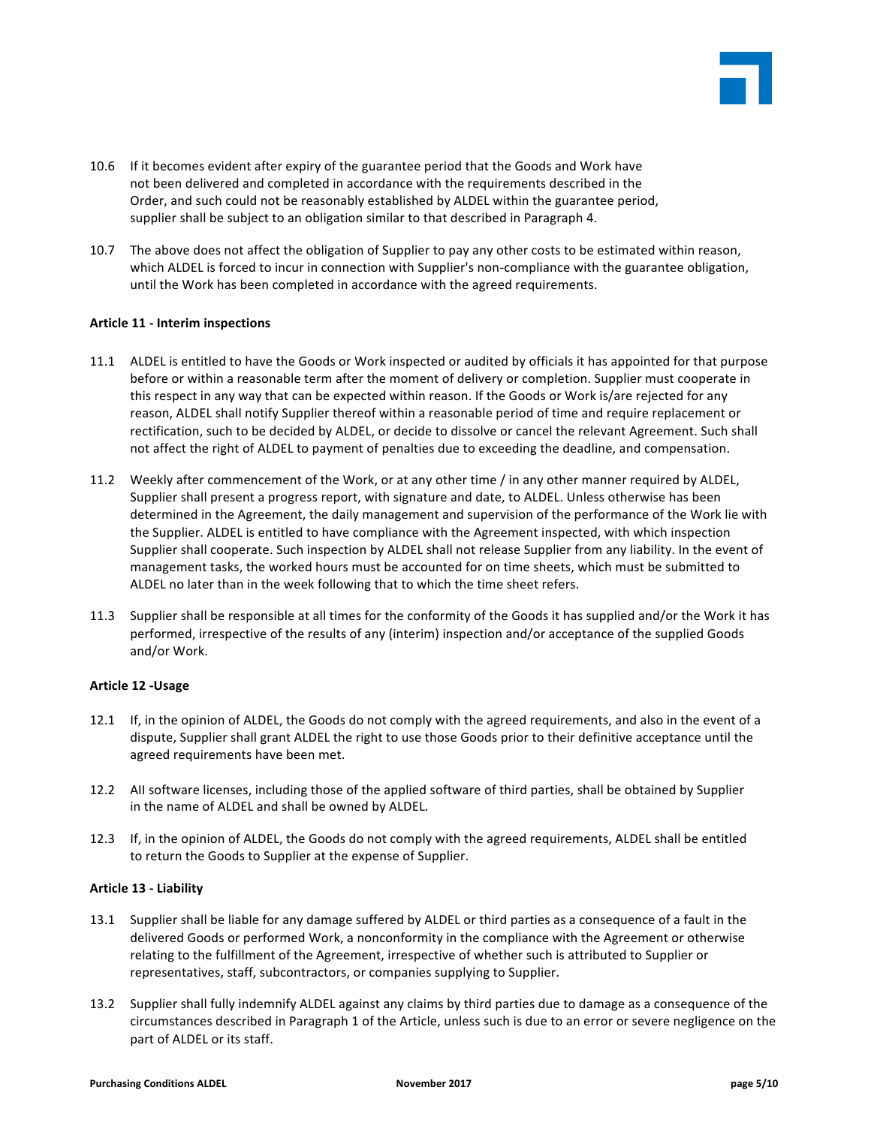

- 10.6 If it becomes evident after expiry of the guarantee period that the Goods and Work have not been delivered and completed in accordance with the requirements described in the Order, and such could not be reasonably established by ALDEL within the guarantee period, supplier shall be subject to an obligation similar to that described in Paragraph 4.
- 10.7 The above does not affect the obligation of Supplier to pay any other costs to be estimated within reason, which ALDEL is forced to incur in connection with Supplier's non-compliance with the guarantee obligation, until the Work has been completed in accordance with the agreed requirements.

## **Article 11 - Interim inspections**

- 11.1 ALDEL is entitled to have the Goods or Work inspected or audited by officials it has appointed for that purpose before or within a reasonable term after the moment of delivery or completion. Supplier must cooperate in this respect in any way that can be expected within reason. If the Goods or Work is/are rejected for any reason, ALDEL shall notify Supplier thereof within a reasonable period of time and require replacement or rectification, such to be decided by ALDEL, or decide to dissolve or cancel the relevant Agreement. Such shall not affect the right of ALDEL to payment of penalties due to exceeding the deadline, and compensation.
- 11.2 Weekly after commencement of the Work, or at any other time / in any other manner required by ALDEL, Supplier shall present a progress report, with signature and date, to ALDEL. Unless otherwise has been determined in the Agreement, the daily management and supervision of the performance of the Work lie with the Supplier. ALDEL is entitled to have compliance with the Agreement inspected, with which inspection Supplier shall cooperate. Such inspection by ALDEL shall not release Supplier from any liability. In the event of management tasks, the worked hours must be accounted for on time sheets, which must be submitted to ALDEL no later than in the week following that to which the time sheet refers.
- 11.3 Supplier shall be responsible at all times for the conformity of the Goods it has supplied and/or the Work it has performed, irrespective of the results of any (interim) inspection and/or acceptance of the supplied Goods and/or Work.

## **Article 12 -Usage**

- 12.1 If, in the opinion of ALDEL, the Goods do not comply with the agreed requirements, and also in the event of a dispute, Supplier shall grant ALDEL the right to use those Goods prior to their definitive acceptance until the agreed requirements have been met.
- 12.2 All software licenses, including those of the applied software of third parties, shall be obtained by Supplier in the name of ALDEL and shall be owned by ALDEL.
- 12.3 If, in the opinion of ALDEL, the Goods do not comply with the agreed requirements, ALDEL shall be entitled to return the Goods to Supplier at the expense of Supplier.

## **Article 13 - Liability**

- 13.1 Supplier shall be liable for any damage suffered by ALDEL or third parties as a consequence of a fault in the delivered Goods or performed Work, a nonconformity in the compliance with the Agreement or otherwise relating to the fulfillment of the Agreement, irrespective of whether such is attributed to Supplier or representatives, staff, subcontractors, or companies supplying to Supplier.
- 13.2 Supplier shall fully indemnify ALDEL against any claims by third parties due to damage as a consequence of the circumstances described in Paragraph 1 of the Article, unless such is due to an error or severe negligence on the part of ALDEL or its staff.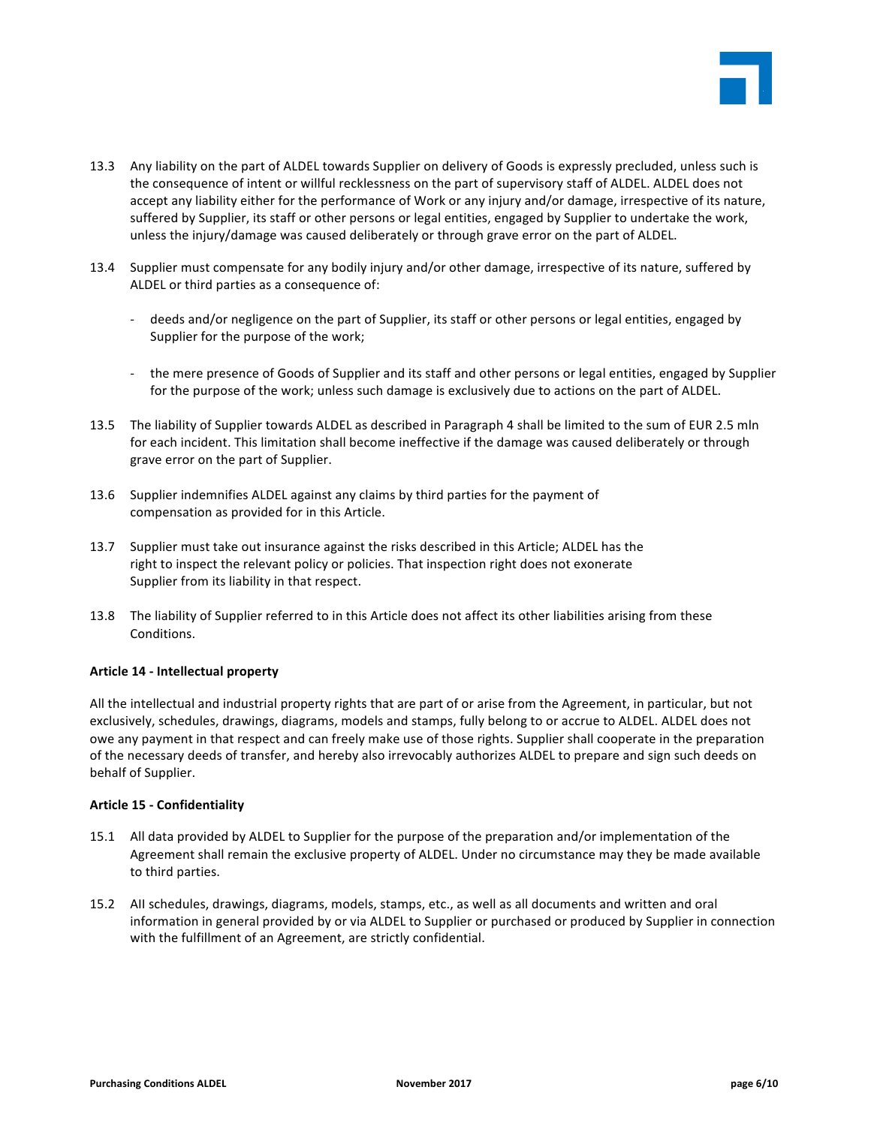

- 13.3 Any liability on the part of ALDEL towards Supplier on delivery of Goods is expressly precluded, unless such is the consequence of intent or willful recklessness on the part of supervisory staff of ALDEL. ALDEL does not accept any liability either for the performance of Work or any injury and/or damage, irrespective of its nature, suffered by Supplier, its staff or other persons or legal entities, engaged by Supplier to undertake the work, unless the injury/damage was caused deliberately or through grave error on the part of ALDEL.
- 13.4 Supplier must compensate for any bodily injury and/or other damage, irrespective of its nature, suffered by ALDEL or third parties as a consequence of:
	- deeds and/or negligence on the part of Supplier, its staff or other persons or legal entities, engaged by Supplier for the purpose of the work;
	- the mere presence of Goods of Supplier and its staff and other persons or legal entities, engaged by Supplier for the purpose of the work; unless such damage is exclusively due to actions on the part of ALDEL.
- 13.5 The liability of Supplier towards ALDEL as described in Paragraph 4 shall be limited to the sum of EUR 2.5 mln for each incident. This limitation shall become ineffective if the damage was caused deliberately or through grave error on the part of Supplier.
- 13.6 Supplier indemnifies ALDEL against any claims by third parties for the payment of compensation as provided for in this Article.
- 13.7 Supplier must take out insurance against the risks described in this Article; ALDEL has the right to inspect the relevant policy or policies. That inspection right does not exonerate Supplier from its liability in that respect.
- 13.8 The liability of Supplier referred to in this Article does not affect its other liabilities arising from these Conditions.

## **Article 14 - Intellectual property**

All the intellectual and industrial property rights that are part of or arise from the Agreement, in particular, but not exclusively, schedules, drawings, diagrams, models and stamps, fully belong to or accrue to ALDEL. ALDEL does not owe any payment in that respect and can freely make use of those rights. Supplier shall cooperate in the preparation of the necessary deeds of transfer, and hereby also irrevocably authorizes ALDEL to prepare and sign such deeds on behalf of Supplier.

## **Article 15 - Confidentiality**

- 15.1 All data provided by ALDEL to Supplier for the purpose of the preparation and/or implementation of the Agreement shall remain the exclusive property of ALDEL. Under no circumstance may they be made available to third parties.
- 15.2 All schedules, drawings, diagrams, models, stamps, etc., as well as all documents and written and oral information in general provided by or via ALDEL to Supplier or purchased or produced by Supplier in connection with the fulfillment of an Agreement, are strictly confidential.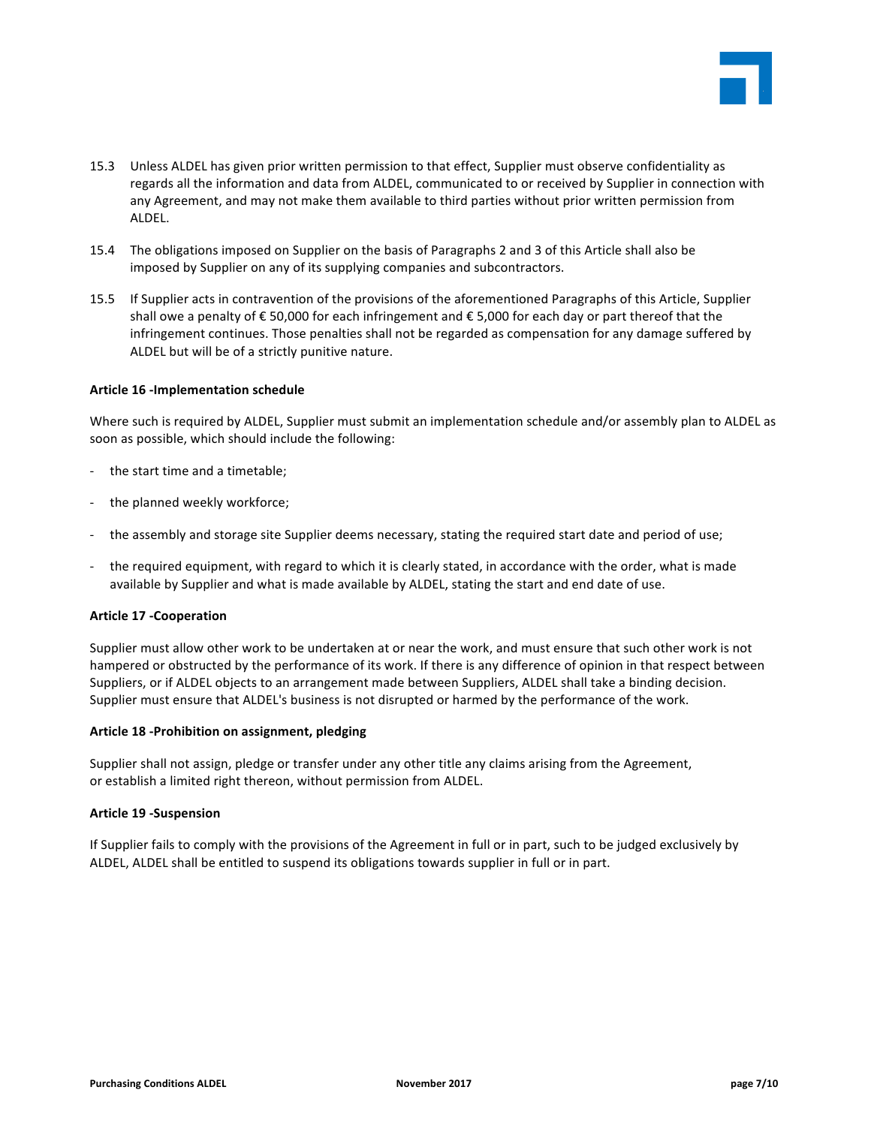

- 15.3 Unless ALDEL has given prior written permission to that effect, Supplier must observe confidentiality as regards all the information and data from ALDEL, communicated to or received by Supplier in connection with any Agreement, and may not make them available to third parties without prior written permission from ALDEL.
- 15.4 The obligations imposed on Supplier on the basis of Paragraphs 2 and 3 of this Article shall also be imposed by Supplier on any of its supplying companies and subcontractors.
- 15.5 If Supplier acts in contravention of the provisions of the aforementioned Paragraphs of this Article, Supplier shall owe a penalty of  $\epsilon$  50,000 for each infringement and  $\epsilon$  5,000 for each day or part thereof that the infringement continues. Those penalties shall not be regarded as compensation for any damage suffered by ALDEL but will be of a strictly punitive nature.

#### **Article 16 -Implementation schedule**

Where such is required by ALDEL, Supplier must submit an implementation schedule and/or assembly plan to ALDEL as soon as possible, which should include the following:

- the start time and a timetable;
- the planned weekly workforce;
- the assembly and storage site Supplier deems necessary, stating the required start date and period of use;
- the required equipment, with regard to which it is clearly stated, in accordance with the order, what is made available by Supplier and what is made available by ALDEL, stating the start and end date of use.

#### **Article 17 -Cooperation**

Supplier must allow other work to be undertaken at or near the work, and must ensure that such other work is not hampered or obstructed by the performance of its work. If there is any difference of opinion in that respect between Suppliers, or if ALDEL objects to an arrangement made between Suppliers, ALDEL shall take a binding decision. Supplier must ensure that ALDEL's business is not disrupted or harmed by the performance of the work.

#### Article 18 -Prohibition on assignment, pledging

Supplier shall not assign, pledge or transfer under any other title any claims arising from the Agreement, or establish a limited right thereon, without permission from ALDEL.

#### **Article 19 -Suspension**

If Supplier fails to comply with the provisions of the Agreement in full or in part, such to be judged exclusively by ALDEL, ALDEL shall be entitled to suspend its obligations towards supplier in full or in part.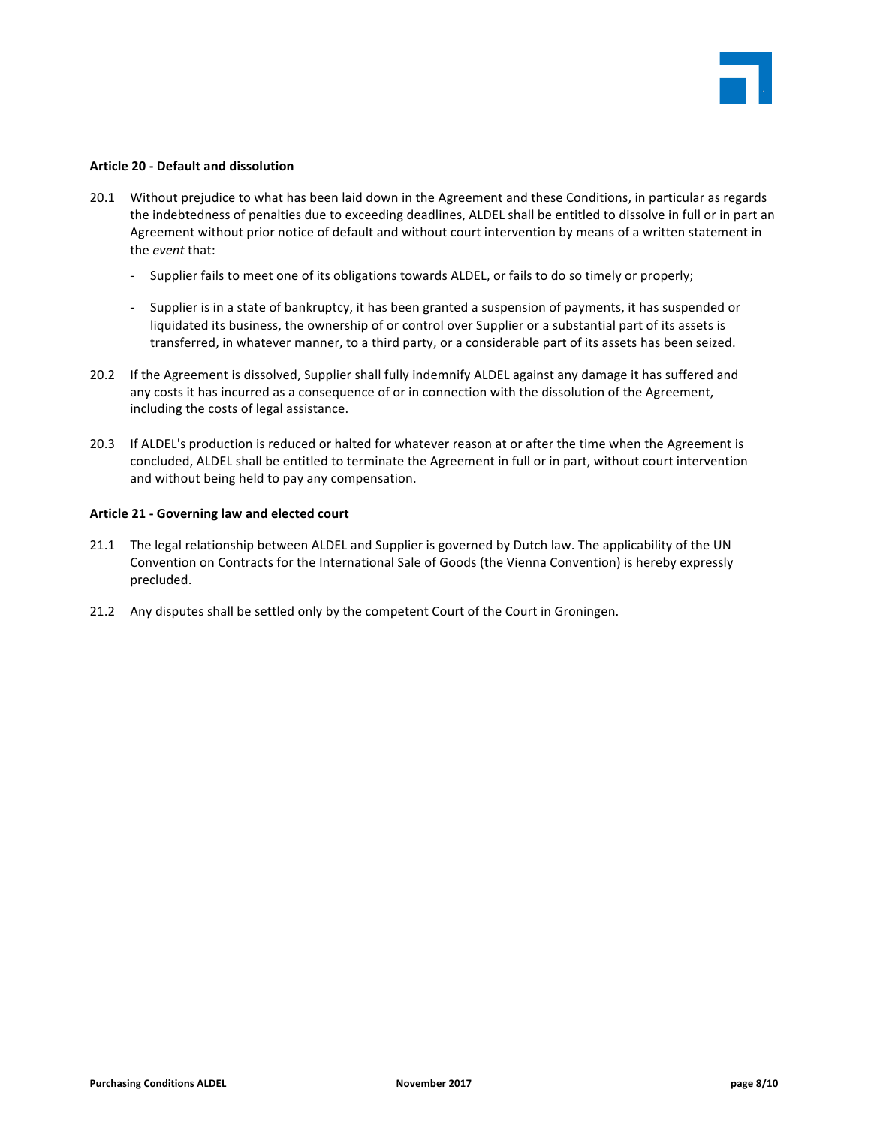

## **Article 20 - Default and dissolution**

- 20.1 Without prejudice to what has been laid down in the Agreement and these Conditions, in particular as regards the indebtedness of penalties due to exceeding deadlines, ALDEL shall be entitled to dissolve in full or in part an Agreement without prior notice of default and without court intervention by means of a written statement in the *event* that:
	- Supplier fails to meet one of its obligations towards ALDEL, or fails to do so timely or properly;
	- Supplier is in a state of bankruptcy, it has been granted a suspension of payments, it has suspended or liquidated its business, the ownership of or control over Supplier or a substantial part of its assets is transferred, in whatever manner, to a third party, or a considerable part of its assets has been seized.
- 20.2 If the Agreement is dissolved, Supplier shall fully indemnify ALDEL against any damage it has suffered and any costs it has incurred as a consequence of or in connection with the dissolution of the Agreement, including the costs of legal assistance.
- 20.3 If ALDEL's production is reduced or halted for whatever reason at or after the time when the Agreement is concluded, ALDEL shall be entitled to terminate the Agreement in full or in part, without court intervention and without being held to pay any compensation.

## Article 21 - Governing law and elected court

- 21.1 The legal relationship between ALDEL and Supplier is governed by Dutch law. The applicability of the UN Convention on Contracts for the International Sale of Goods (the Vienna Convention) is hereby expressly precluded.
- 21.2 Any disputes shall be settled only by the competent Court of the Court in Groningen.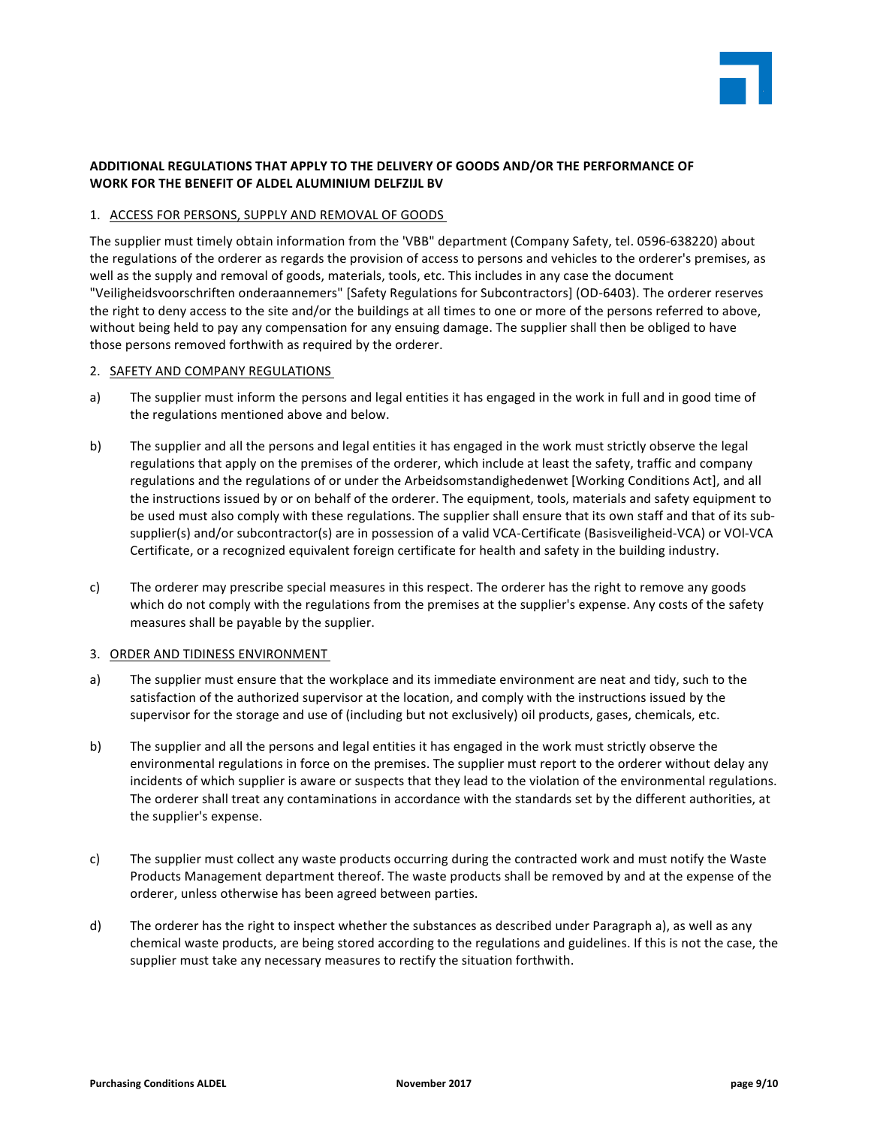

# ADDITIONAL REGULATIONS THAT APPLY TO THE DELIVERY OF GOODS AND/OR THE PERFORMANCE OF WORK FOR THE BENEFIT OF ALDEL ALUMINIUM DELFZIJL BV

## 1. ACCESS FOR PERSONS, SUPPLY AND REMOVAL OF GOODS

The supplier must timely obtain information from the 'VBB" department (Company Safety, tel. 0596-638220) about the regulations of the orderer as regards the provision of access to persons and vehicles to the orderer's premises, as well as the supply and removal of goods, materials, tools, etc. This includes in any case the document "Veiligheidsvoorschriften onderaannemers" [Safety Regulations for Subcontractors] (OD-6403). The orderer reserves the right to deny access to the site and/or the buildings at all times to one or more of the persons referred to above, without being held to pay any compensation for any ensuing damage. The supplier shall then be obliged to have those persons removed forthwith as required by the orderer.

## 2. SAFETY AND COMPANY REGULATIONS

- a) The supplier must inform the persons and legal entities it has engaged in the work in full and in good time of the regulations mentioned above and below.
- b) The supplier and all the persons and legal entities it has engaged in the work must strictly observe the legal regulations that apply on the premises of the orderer, which include at least the safety, traffic and company regulations and the regulations of or under the Arbeidsomstandighedenwet [Working Conditions Act], and all the instructions issued by or on behalf of the orderer. The equipment, tools, materials and safety equipment to be used must also comply with these regulations. The supplier shall ensure that its own staff and that of its subsupplier(s) and/or subcontractor(s) are in possession of a valid VCA-Certificate (Basisveiligheid-VCA) or VOI-VCA Certificate, or a recognized equivalent foreign certificate for health and safety in the building industry.
- c) The orderer may prescribe special measures in this respect. The orderer has the right to remove any goods which do not comply with the regulations from the premises at the supplier's expense. Any costs of the safety measures shall be payable by the supplier.

## 3. ORDER AND TIDINESS ENVIRONMENT

- a) The supplier must ensure that the workplace and its immediate environment are neat and tidy, such to the satisfaction of the authorized supervisor at the location, and comply with the instructions issued by the supervisor for the storage and use of (including but not exclusively) oil products, gases, chemicals, etc.
- b) The supplier and all the persons and legal entities it has engaged in the work must strictly observe the environmental regulations in force on the premises. The supplier must report to the orderer without delay any incidents of which supplier is aware or suspects that they lead to the violation of the environmental regulations. The orderer shall treat any contaminations in accordance with the standards set by the different authorities, at the supplier's expense.
- c) The supplier must collect any waste products occurring during the contracted work and must notify the Waste Products Management department thereof. The waste products shall be removed by and at the expense of the orderer, unless otherwise has been agreed between parties.
- d) The orderer has the right to inspect whether the substances as described under Paragraph a), as well as any chemical waste products, are being stored according to the regulations and guidelines. If this is not the case, the supplier must take any necessary measures to rectify the situation forthwith.